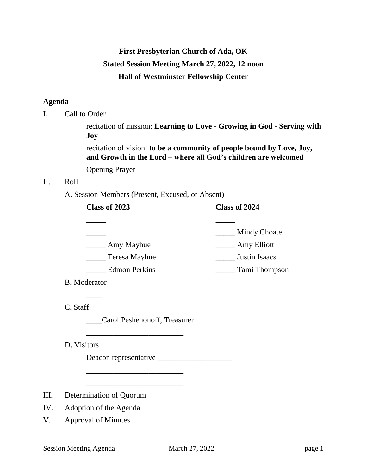# **First Presbyterian Church of Ada, OK Stated Session Meeting March 27, 2022, 12 noon Hall of Westminster Fellowship Center**

# **Agenda**

I. Call to Order

recitation of mission: **Learning to Love - Growing in God - Serving with Joy**

recitation of vision: **to be a community of people bound by Love, Joy, and Growth in the Lord – where all God's children are welcomed**

Opening Prayer

# II. Roll

A. Session Members (Present, Excused, or Absent)

| Class of 2023        | Class of 2024 |
|----------------------|---------------|
|                      |               |
|                      | Mindy Choate  |
| Amy Mayhue           | Amy Elliott   |
| Teresa Mayhue        | Justin Isaacs |
| <b>Edmon Perkins</b> | Tami Thompson |

B. Moderator

 $\overline{\phantom{a}}$ 

C. Staff

\_\_\_\_Carol Peshehonoff, Treasurer

\_\_\_\_\_\_\_\_\_\_\_\_\_\_\_\_\_\_\_\_\_\_\_\_\_

\_\_\_\_\_\_\_\_\_\_\_\_\_\_\_\_\_\_\_\_\_\_\_\_\_

\_\_\_\_\_\_\_\_\_\_\_\_\_\_\_\_\_\_\_\_\_\_\_\_\_

D. Visitors

Deacon representative \_\_\_\_\_\_\_\_\_\_\_\_\_\_\_\_\_\_\_

- III. Determination of Quorum
- IV. Adoption of the Agenda
- V. Approval of Minutes

Session Meeting Agenda March 27, 2022 page 1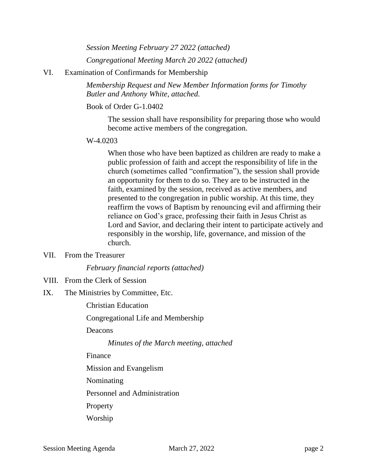*Session Meeting February 27 2022 (attached)*

*Congregational Meeting March 20 2022 (attached)*

## VI. Examination of Confirmands for Membership

*Membership Request and New Member Information forms for Timothy Butler and Anthony White, attached.*

## Book of Order G-1.0402

The session shall have responsibility for preparing those who would become active members of the congregation.

#### W-4.0203

When those who have been baptized as children are ready to make a public profession of faith and accept the responsibility of life in the church (sometimes called "confirmation"), the session shall provide an opportunity for them to do so. They are to be instructed in the faith, examined by the session, received as active members, and presented to the congregation in public worship. At this time, they reaffirm the vows of Baptism by renouncing evil and affirming their reliance on God's grace, professing their faith in Jesus Christ as Lord and Savior, and declaring their intent to participate actively and responsibly in the worship, life, governance, and mission of the church.

#### VII. From the Treasurer

#### *February financial reports (attached)*

VIII. From the Clerk of Session

## IX. The Ministries by Committee, Etc.

Christian Education

Congregational Life and Membership

Deacons

*Minutes of the March meeting, attached*

Finance

- Mission and Evangelism
- Nominating

Personnel and Administration

Property

Worship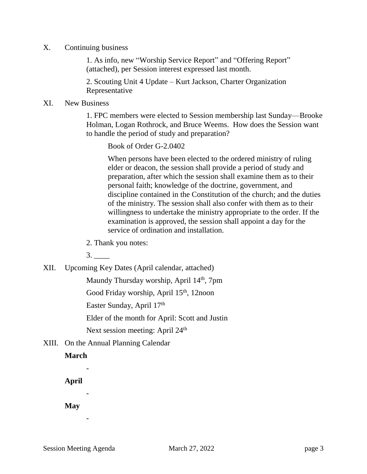X. Continuing business

1. As info, new "Worship Service Report" and "Offering Report" (attached), per Session interest expressed last month.

2. Scouting Unit 4 Update – Kurt Jackson, Charter Organization Representative

### XI. New Business

1. FPC members were elected to Session membership last Sunday—Brooke Holman, Logan Rothrock, and Bruce Weems. How does the Session want to handle the period of study and preparation?

Book of Order G-2.0402

When persons have been elected to the ordered ministry of ruling elder or deacon, the session shall provide a period of study and preparation, after which the session shall examine them as to their personal faith; knowledge of the doctrine, government, and discipline contained in the Constitution of the church; and the duties of the ministry. The session shall also confer with them as to their willingness to undertake the ministry appropriate to the order. If the examination is approved, the session shall appoint a day for the service of ordination and installation.

2. Thank you notes:

3. \_\_\_\_

XII. Upcoming Key Dates (April calendar, attached)

Maundy Thursday worship, April 14<sup>th</sup>, 7pm

Good Friday worship, April 15<sup>th</sup>, 12noon

Easter Sunday, April 17th

Elder of the month for April: Scott and Justin

Next session meeting: April 24<sup>th</sup>

XIII. On the Annual Planning Calendar

# **March**

-

-

-

**April**

**May**